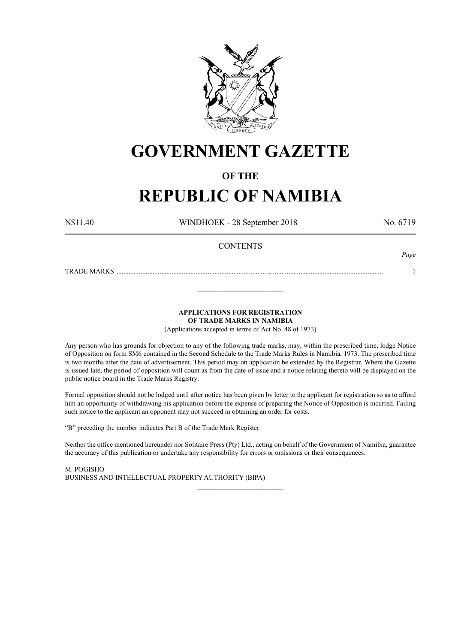

# **GOVERNMENT GAZETTE**

## **OF THE**

## **REPUBLIC OF NAMIBIA**

N\$11.40 WINDHOEK - 28 September 2018 No. 6719

*Page*

## **CONTENTS**

TRADE MARKS ........................................................................................................................................................... 1

**APPLICATIONS FOR REGISTRATION**

**OF TRADE MARKS IN NAMIBIA**

\_\_\_\_\_\_\_\_\_\_\_\_\_\_\_\_\_\_\_\_\_\_\_\_\_

(Applications accepted in terms of Act No. 48 of 1973)

Any person who has grounds for objection to any of the following trade marks, may, within the prescribed time, lodge Notice of Opposition on form SM6 contained in the Second Schedule to the Trade Marks Rules in Namibia, 1973. The prescribed time is two months after the date of advertisement. This period may on application be extended by the Registrar. Where the Gazette is issued late, the period of opposition will count as from the date of issue and a notice relating thereto will be displayed on the public notice board in the Trade Marks Registry.

Formal opposition should not be lodged until after notice has been given by letter to the applicant for registration so as to afford him an opportunity of withdrawing his application before the expense of preparing the Notice of Opposition is incurred. Failing such notice to the applicant an opponent may not succeed in obtaining an order for costs.

"B" preceding the number indicates Part B of the Trade Mark Register.

Neither the office mentioned hereunder nor Solitaire Press (Pty) Ltd., acting on behalf of the Government of Namibia, guarantee the accuracy of this publication or undertake any responsibility for errors or omissions or their consequences.

\_\_\_\_\_\_\_\_\_\_\_\_\_\_\_\_\_\_\_\_\_\_\_\_\_

M. PogIsho BUSINESS AND INTELLECTUAL PROPERTY AUTHORITY (BIPA)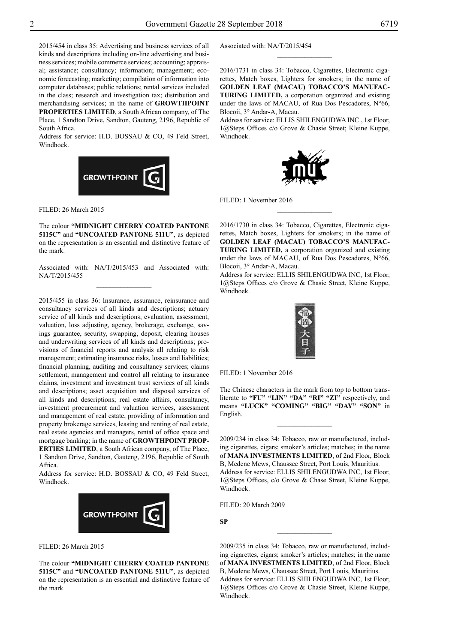2015/454 in class 35: Advertising and business services of all kinds and descriptions including on-line advertising and business services; mobile commerce services; accounting; appraisal; assistance; consultancy; information; management; economic forecasting; marketing; compilation of information into computer databases; public relations; rental services included in the class; research and investigation tax; distribution and merchandising services; in the name of **GROWTHPOINT PROPERTIES LIMITED**, a South African company, of The Place, 1 Sandton Drive, Sandton, Gauteng, 2196, Republic of South Africa.

Address for service: H.D. BOSSAU & CO, 49 Feld Street, Windhoek.



Filed: 26 March 2015

The colour **"Midnight Cherry coated pantone 5115C"** and **"uncoated pantone 511U"**, as depicted on the representation is an essential and distinctive feature of the mark.

Associated with: NA/T/2015/453 and Associated with: NA/T/2015/455  $\frac{1}{2}$ 

2015/455 in class 36: Insurance, assurance, reinsurance and consultancy services of all kinds and descriptions; actuary service of all kinds and descriptions; evaluation, assessment, valuation, loss adjusting, agency, brokerage, exchange, savings guarantee, security, swapping, deposit, clearing houses and underwriting services of all kinds and descriptions; provisions of financial reports and analysis all relating to risk management; estimating insurance risks, losses and liabilities; financial planning, auditing and consultancy services; claims settlement, management and control all relating to insurance claims, investment and investment trust services of all kinds and descriptions; asset acquisition and disposal services of all kinds and descriptions; real estate affairs, consultancy, investment procurement and valuation services, assessment and management of real estate, providing of information and property brokerage services, leasing and renting of real estate, real estate agencies and managers, rental of office space and mortgage banking; in the name of **GROWTHPOINT PROP-ERTIES LIMITED**, a South African company, of The Place, 1 Sandton Drive, Sandton, Gauteng, 2196, Republic of South Africa.

Address for service: H.D. BOSSAU & CO, 49 Feld Street, Windhoek.



Filed: 26 March 2015

The colour **"Midnight Cherry coated pantone 5115C"** and **"uncoated pantone 511U"**, as depicted on the representation is an essential and distinctive feature of the mark.

Associated with: NA/T/2015/454

2016/1731 in class 34: Tobacco, Cigarettes, Electronic cigarettes, Match boxes, Lighters for smokers; in the name of **GOLDEN LEAF (MACAU) TOBACCO'S MANUFAC-TURING LIMITED,** a corporation organized and existing under the laws of MACAU, of Rua Dos Pescadores, N°66, Blocoii, 3° Andar-A, Macau.

 $\frac{1}{2}$ 

Address for service: Ellis Shilengudwa Inc., 1st Floor, 1@Steps Offices c/o Grove & Chasie Street; Kleine Kuppe, Windhoek.



FILED: 1 November 2016

2016/1730 in class 34: Tobacco, Cigarettes, Electronic cigarettes, Match boxes, Lighters for smokers; in the name of **GOLDEN LEAF (MACAU) TOBACCO'S MANUFAC-TURING LIMITED,** a corporation organized and existing under the laws of MACAU, of Rua Dos Pescadores, N°66, Blocoii, 3° Andar-A, Macau.

 $\frac{1}{2}$ 

Address for service: Ellis Shilengudwa Inc, 1st Floor, 1@Steps Offices c/o Grove & Chasie Street, Kleine Kuppe, Windhoek.



Filed: 1 November 2016

The Chinese characters in the mark from top to bottom transliterate to **"FU" "LIN" "DA" "RI" "ZI"** respectively, and means **"LUCK" "COMING" "BIG" "DAY" "SON"** in English.

 $\frac{1}{2}$ 

2009/234 in class 34: Tobacco, raw or manufactured, including cigarettes, cigars; smoker's articles; matches; in the name of **MANA INVESTMENTS LIMITED**, of 2nd Floor, Block B, Medene Mews, Chaussee Street, Port Louis, Mauritius. Address for service: Ellis Shilengudwa Inc, 1st Floor, 1@Steps Offices, c/o Grove & Chase Street, Kleine Kuppe, Windhoek.

Filed: 20 March 2009

**SP**

2009/235 in class 34: Tobacco, raw or manufactured, including cigarettes, cigars; smoker's articles; matches; in the name of **MANA INVESTMENTS LIMITED**, of 2nd Floor, Block B, Medene Mews, Chaussee Street, Port Louis, Mauritius. Address for service: Ellis Shilengudwa Inc, 1st Floor, 1@Steps Offices c/o Grove & Chasie Street, Kleine Kuppe, Windhoek.

 $\frac{1}{2}$